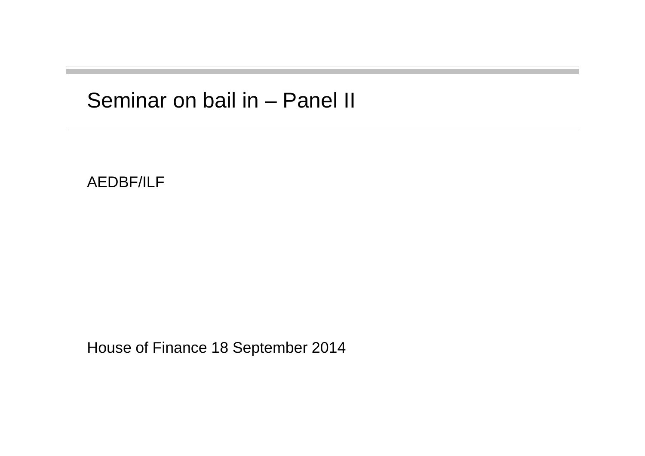## Seminar on bail in – Panel II

AEDBF/ILF

House of Finance 18 September 2014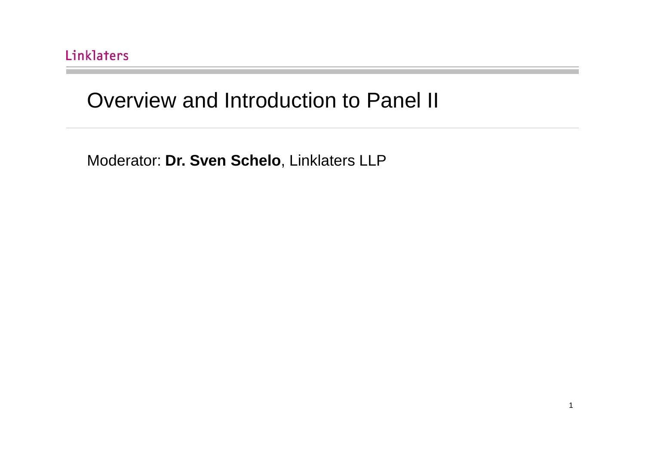## Overview and Introduction to Panel II

Moderator: **Dr. Sven Schelo**, Linklaters LLP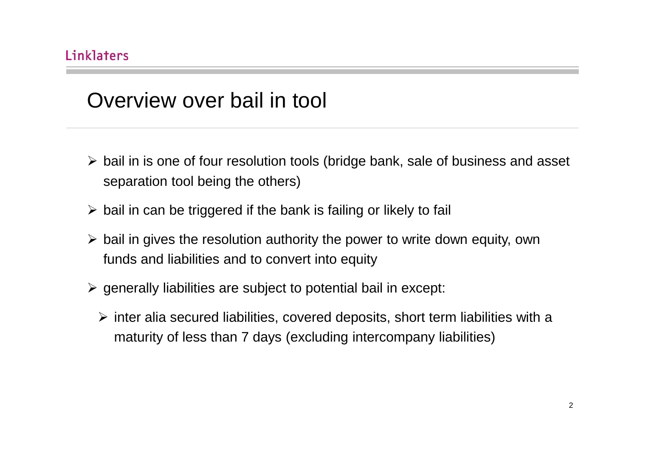## Overview over bail in tool

- > bail in is one of four resolution tools (bridge bank, sale of business and asset separation tool being the others)
- $\triangleright$  bail in can be triggered if the bank is failing or likely to fail
- > bail in gives the resolution authority the power to write down equity, own funds and liabilities and to convert into equity
- $\triangleright$  generally liabilities are subject to potential bail in except:
	- $\triangleright$  inter alia secured liabilities, covered deposits, short term liabilities with a maturity of less than 7 days (excluding intercompany liabilities)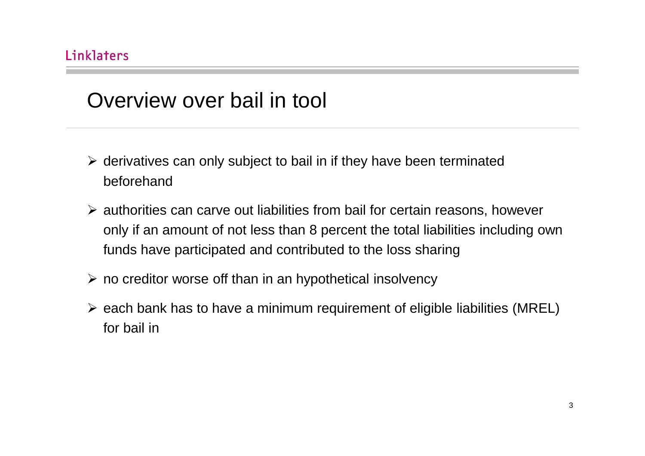## Overview over bail in tool

- > derivatives can only subject to bail in if they have been terminated beforehand
- > authorities can carve out liabilities from bail for certain reasons, however only if an amount of not less than 8 percent the total liabilities including own funds have participated and contributed to the loss sharing
- no creditor worse off than in an hypothetical insolvency
- $\triangleright$  each bank has to have a minimum requirement of eligible liabilities (MREL) for bail in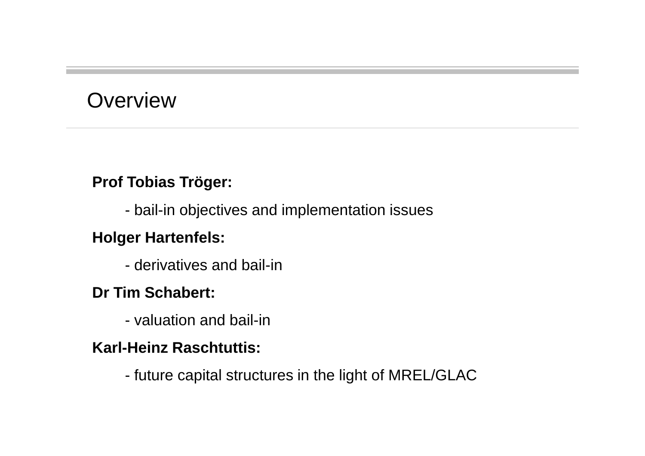## **Overview**

## **Prof Tobias Tröger:**

- bail-in objectives and implementation issues

## **Holger Hartenfels:**

- derivatives and bail-in

## **Dr Tim Schabert:**

- valuation and bail-in

## **Karl-Heinz Raschtuttis:**

future capital structures in the light of MREL/GLAC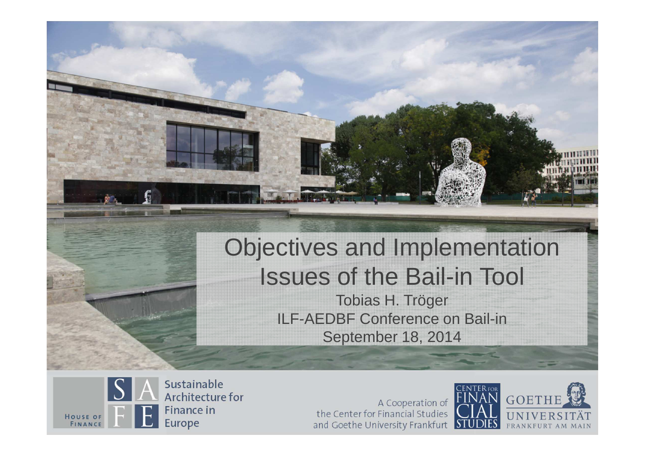# Objectives and Implementation Issues of the Bail-in Tool

Tobias H. Tröger ILF-AEDBF Conference on Bail-inSeptember 18, 2014



A Cooperation of the Center for Financial Studies and Goethe University Frankfurt

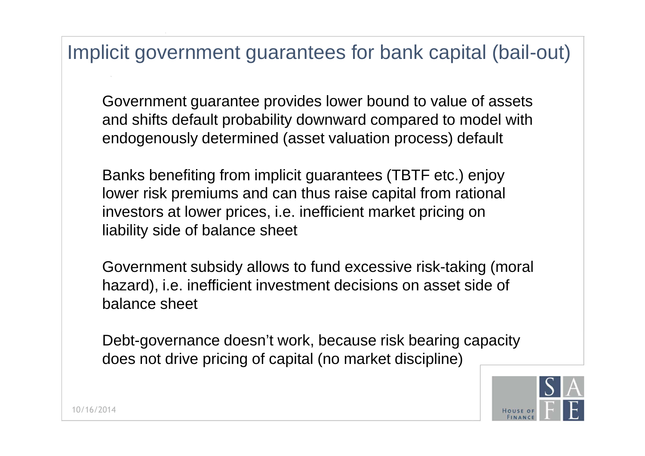## Implicit government guarantees for bank capital (bail-out )

Government guarantee provides lower bound to value of assets and shifts default probability downward compared to model with endogenously determined (asset valuation process) default

Banks benefiting from implicit guarantees (TBTF etc.) enjoy lower risk premiums and can thus raise capital from rational investors at lower prices, i.e. inefficient market pricing on liability side of balance sheet

Government subsidy allows to fund excessive risk-taking (moral hazard), i.e. inefficient investment decisions on asset side of balance sheet

Debt-governance doesn't work, because risk bearing capacity does not drive pricing of capital (no market discipline)

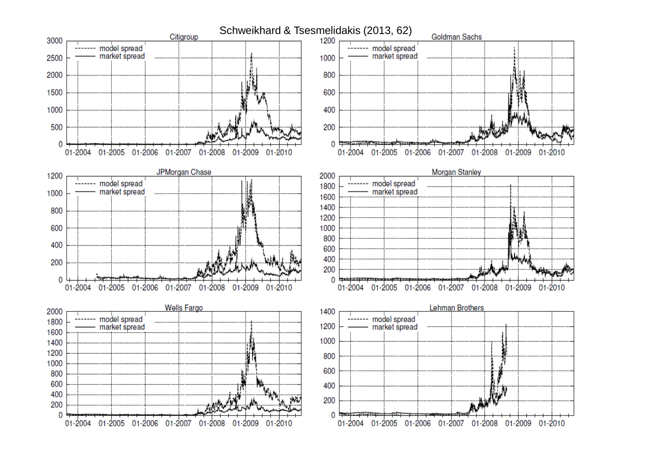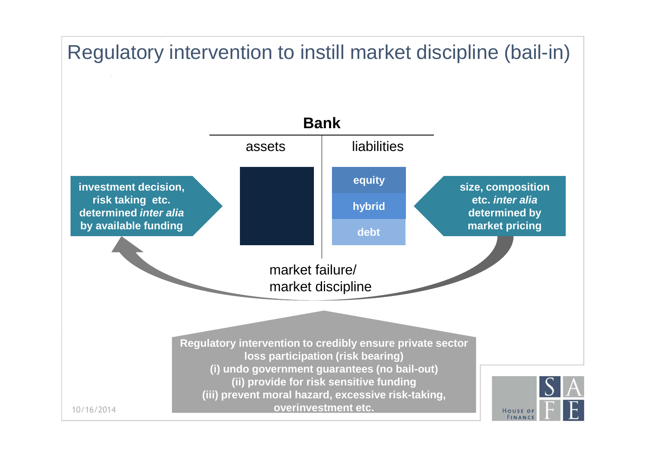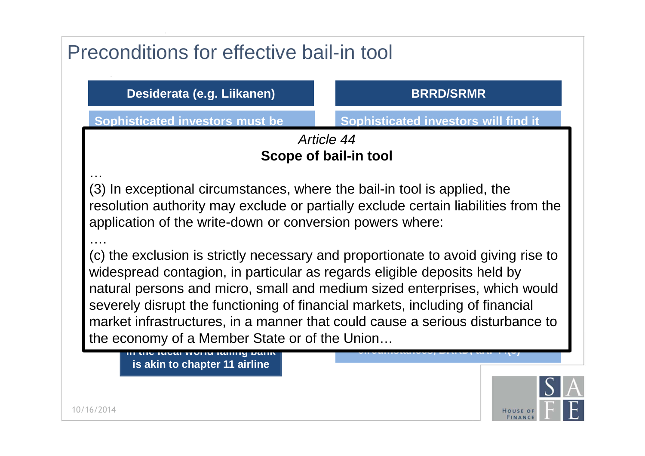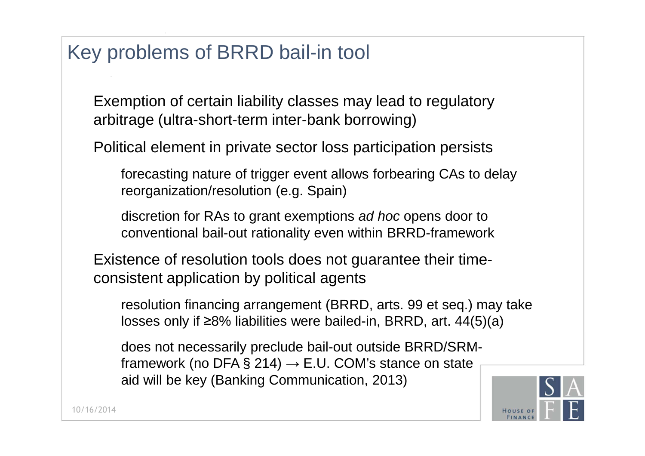## Key problems of BRRD bail-in tool

Exemption of certain liability classes may lead to regulatory arbitrage (ultra-short-term inter-bank borrowing)

Political element in private sector loss participation persists

forecasting nature of trigger event allows forbearing CAs to delay reorganization/resolution (e.g. Spain)

discretion for RAs to grant exemptions *ad hoc* opens door to conventional bail-out rationality even within BRRD-framework

Existence of resolution tools does not guarantee their timeconsistent application by political agents

resolution financing arrangement (BRRD, arts. 99 et seq.) may take losses only if ≥8% liabilities were bailed-in, BRRD, art. 44(5)(a)

does not necessarily preclude bail-out outside BRRD/SRMframework (no DFA § 214)  $\rightarrow$  E.U. COM's stance on state aid will be key (Banking Communication, 2013)

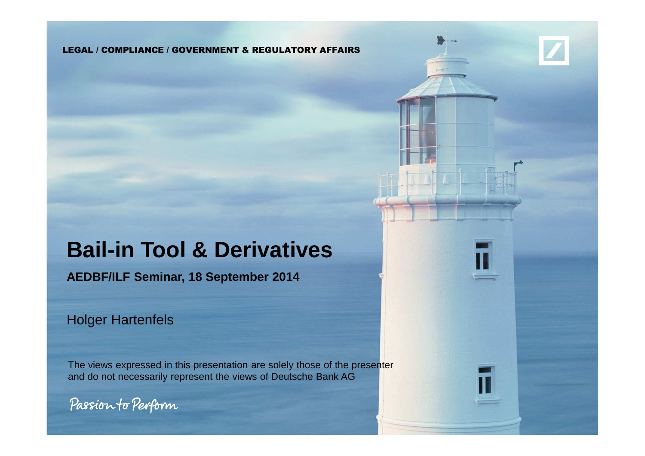#### LEGAL / COMPLIANCE / GOVERNMENT & REGULATORY AFFAIRS

## **Bail-in Tool & Derivatives**

**AEDBF/ILF Seminar, 18 September 2014**

Holger Hartenfels

The views expressed in this presentation are solely those of the presenterand do not necessarily represent the views of Deutsche Bank AG

Passion to Perform

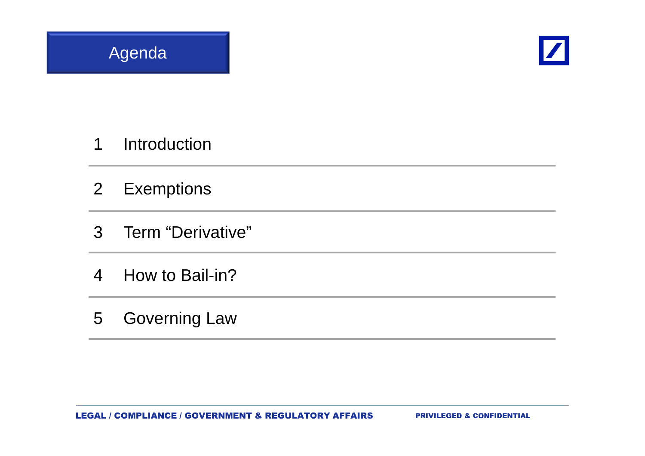



- Introduction
- Exemptions
- Term "Derivative"
- How to Bail-in?
- Governing Law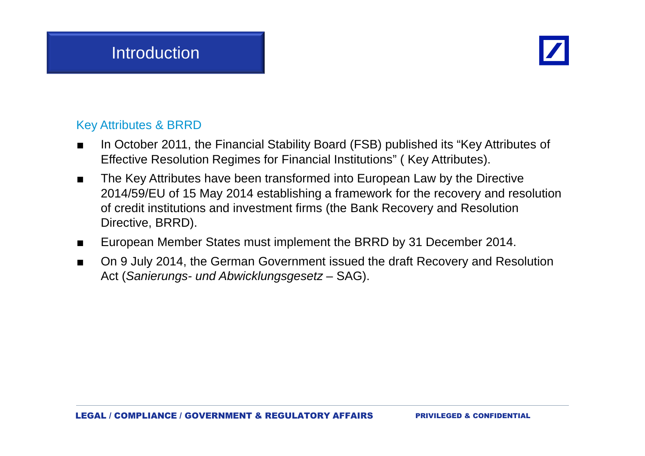

### Key Attributes & BRRD

- In October 2011, the Financial Stability Board (FSB) published its "Key Attributes of ■Effective Resolution Regimes for Financial Institutions" ( Key Attributes).
- ■ The Key Attributes have been transformed into European Law by the Directive 2014/59/EU of 15 May 2014 establishing a framework for the recovery and resolution of credit institutions and investment firms (the Bank Recovery and Resolution Directive, BRRD).
- ■European Member States must implement the BRRD by 31 December 2014.
- ■ On 9 July 2014, the German Government issued the draft Recovery and Resolution Act (Sanierungs- und Abwicklungsgesetz – SAG).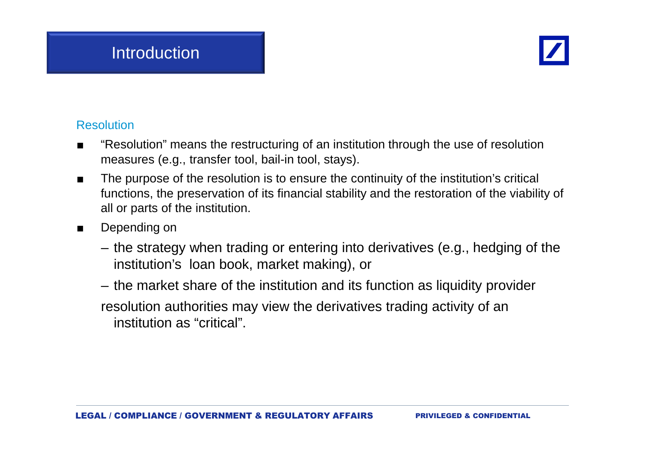

### Resolution

- ■ "Resolution" means the restructuring of an institution through the use of resolution measures (e.g., transfer tool, bail-in tool, stays).
- ■ The purpose of the resolution is to ensure the continuity of the institution's critical functions, the preservation of its financial stability and the restoration of the viability of all or parts of the institution.
- ■ Depending on
	- the strategy when trading or entering into derivatives (e.g., hedging of the institution's loan book, market making), or
	- the market share of the institution and its function as liquidity provider

resolution authorities may view the derivatives trading activity of an institution as "critical".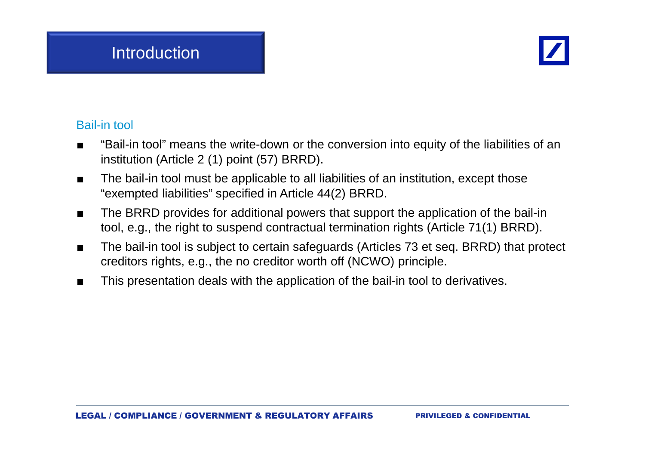

### Bail-in tool

- ■ "Bail-in tool" means the write-down or the conversion into equity of the liabilities of an institution (Article 2 (1) point (57) BRRD).
- ■ The bail-in tool must be applicable to all liabilities of an institution, except those "exempted liabilities" specified in Article 44(2) BRRD.
- ■ The BRRD provides for additional powers that support the application of the bail-in tool, e.g., the right to suspend contractual termination rights (Article 71(1) BRRD).
- ■ The bail-in tool is subject to certain safeguards (Articles 73 et seq. BRRD) that protect creditors rights, e.g., the no creditor worth off (NCWO) principle.
- ■This presentation deals with the application of the bail-in tool to derivatives.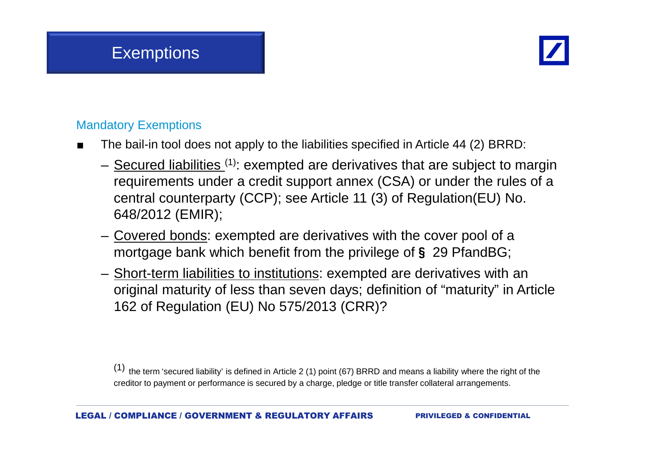

## Mandatory Exemptions

- ■ The bail-in tool does not apply to the liabilities specified in Article 44 (2) BRRD:
	- Secured liabilities <sup>(1)</sup>: exempted are derivatives that are subject to margin requirements under a credit support annex (CSA) or under the rules of a central counterparty (CCP); see Article 11 (3) of Regulation(EU) No. 648/2012 (EMIR);
	- Covered bonds: exempted are derivatives with the cover pool of a mortgage bank which benefit from the privilege of § 29 PfandBG;<br>Charlotted in this contribution of the contribution of the contribution of the co
	- <u>Short-term liabilities to institutions</u>: exempted are derivatives with an original maturity of less than seven days; definition of "maturity" in Article 162 of Regulation (EU) No 575/2013 (CRR)?

(1)  $\,$  the term 'secured liability' is defined in Article 2 (1) point (67) BRRD and means a liability where the right of the creditor to payment or performance is secured by a charge, pledge or title transfer collateral arrangements.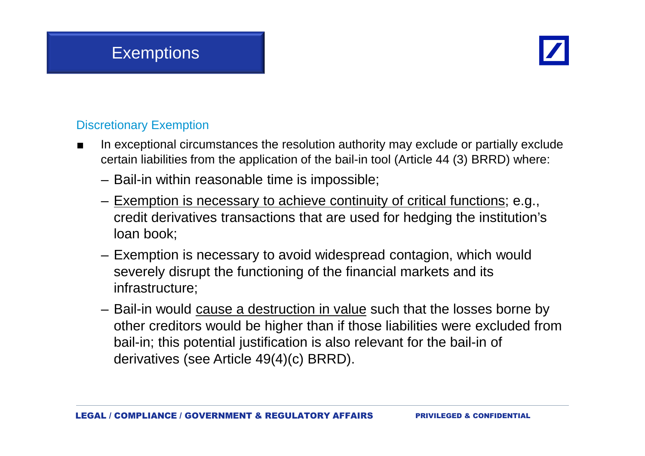

## Discretionary Exemption

- ■ In exceptional circumstances the resolution authority may exclude or partially exclude certain liabilities from the application of the bail-in tool (Article 44 (3) BRRD) where:
	- Bail-in within reasonable time is impossible;
	- Exemption is necessary to achieve continuity of critical functions; e.g., credit derivatives transactions that are used for hedging the institution's loan book;
	- Exemption is necessary to avoid widespread contagion, which would severely disrupt the functioning of the financial markets and its infrastructure;
	- Bail-in would <u>cause a destruction in value</u> such that the losses borne by other creditors would be higher than if those liabilities were excluded from bail-in; this potential justification is also relevant for the bail-in of derivatives (see Article 49(4)(c) BRRD).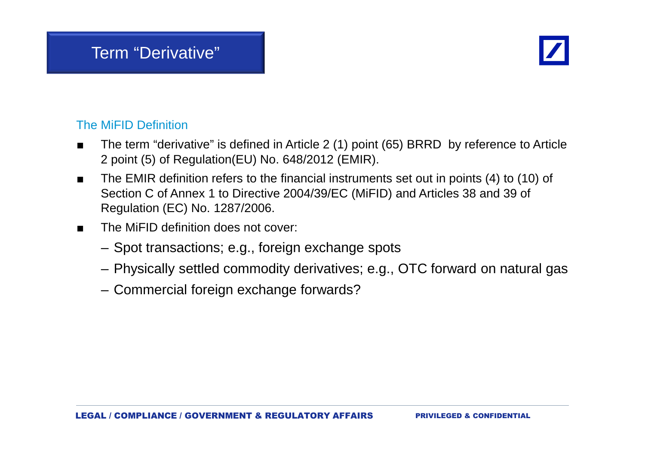

### The MiFID Definition

- ■ The term "derivative" is defined in Article 2 (1) point (65) BRRD by reference to Article 2 point (5) of Regulation(EU) No. 648/2012 (EMIR).
- ■ The EMIR definition refers to the financial instruments set out in points (4) to (10) of Section C of Annex 1 to Directive 2004/39/EC (MiFID) and Articles 38 and 39 of Regulation (EC) No. 1287/2006.
- ■ The MiFID definition does not cover:
	- Spot transactions; e.g., foreign exchange spots
	- Physically settled commodity derivatives; e.g., OTC forward on natural gas
	- Commercial foreign exchange forwards?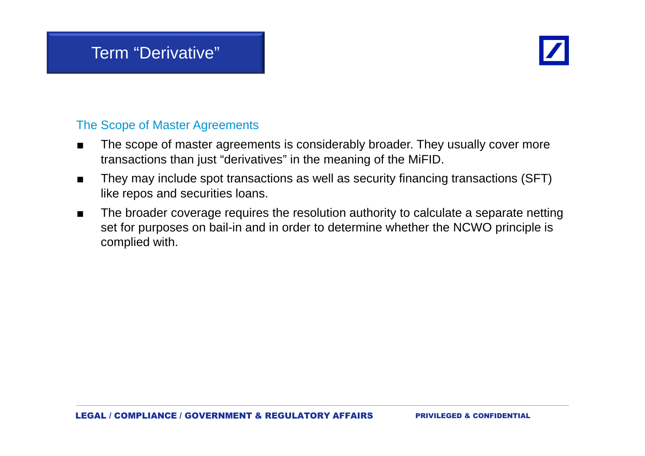

#### The Scope of Master Agreements

- ■ The scope of master agreements is considerably broader. They usually cover more transactions than just "derivatives" in the meaning of the MiFID.
- ■ They may include spot transactions as well as security financing transactions (SFT) like repos and securities loans.
- ■ The broader coverage requires the resolution authority to calculate a separate netting set for purposes on bail-in and in order to determine whether the NCWO principle is complied with.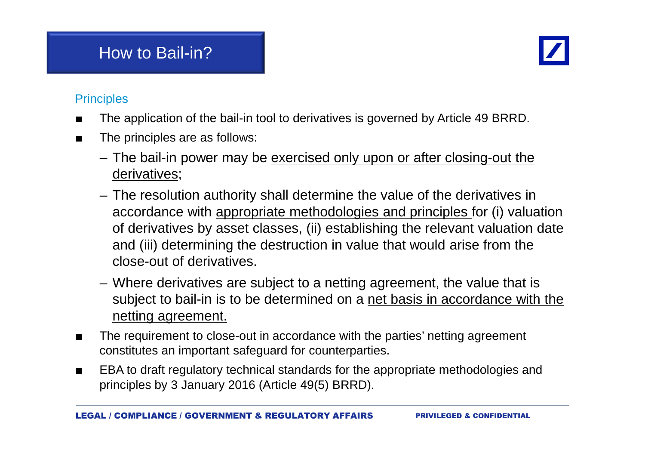## How to Bail-in?



#### **Principles**

- ■The application of the bail-in tool to derivatives is governed by Article 49 BRRD.
- ■ The principles are as follows:
	- The bail-in power may be <u>exercised only upon or after closing-out the</u> derivatives;
	- The resolution authority shall determine the value of the derivatives in accordance with appropriate methodologies and principles for (i) valuation of derivatives by asset classes, (ii) establishing the relevant valuation date and (iii) determining the destruction in value that would arise from the close-out of derivatives.
	- Where derivatives are subject to a netting agreement, the value that is subject to bail-in is to be determined on a net basis in accordance with the netting agreement.
- ■ The requirement to close-out in accordance with the parties' netting agreement constitutes an important safeguard for counterparties.
- ■ EBA to draft regulatory technical standards for the appropriate methodologies and principles by 3 January 2016 (Article 49(5) BRRD).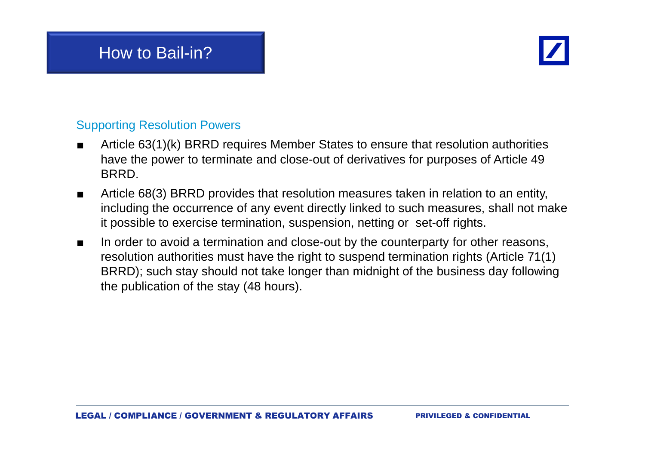## How to Bail-in?



#### Supporting Resolution Powers

- ■ Article 63(1)(k) BRRD requires Member States to ensure that resolution authorities have the power to terminate and close-out of derivatives for purposes of Article 49 **BRRD.**
- ■ Article 68(3) BRRD provides that resolution measures taken in relation to an entity, including the occurrence of any event directly linked to such measures, shall not make it possible to exercise termination, suspension, netting or set-off rights.
- ■ In order to avoid a termination and close-out by the counterparty for other reasons, resolution authorities must have the right to suspend termination rights (Article 71(1) BRRD); such stay should not take longer than midnight of the business day following the publication of the stay (48 hours).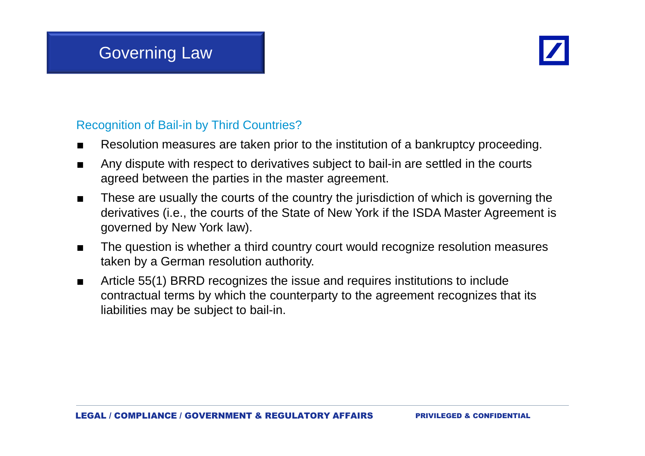

#### Recognition of Bail-in by Third Countries?

- ■Resolution measures are taken prior to the institution of a bankruptcy proceeding.
- ■ Any dispute with respect to derivatives subject to bail-in are settled in the courts agreed between the parties in the master agreement.
- ■ These are usually the courts of the country the jurisdiction of which is governing the derivatives (i.e., the courts of the State of New York if the ISDA Master Agreement is governed by New York law).
- ■ The question is whether a third country court would recognize resolution measures taken by a German resolution authority.
- ■ Article 55(1) BRRD recognizes the issue and requires institutions to include contractual terms by which the counterparty to the agreement recognizes that its liabilities may be subject to bail-in.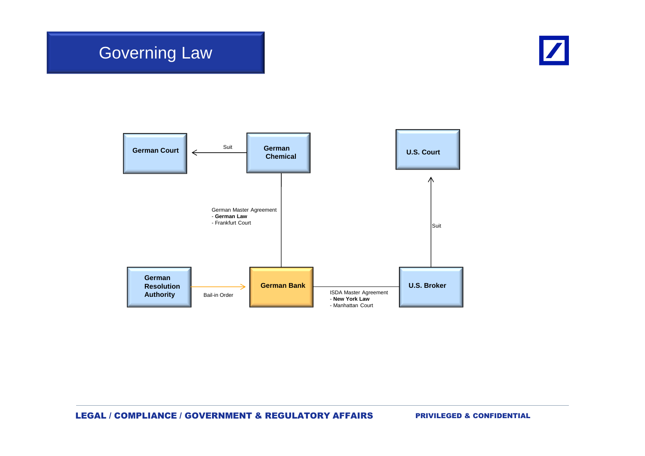

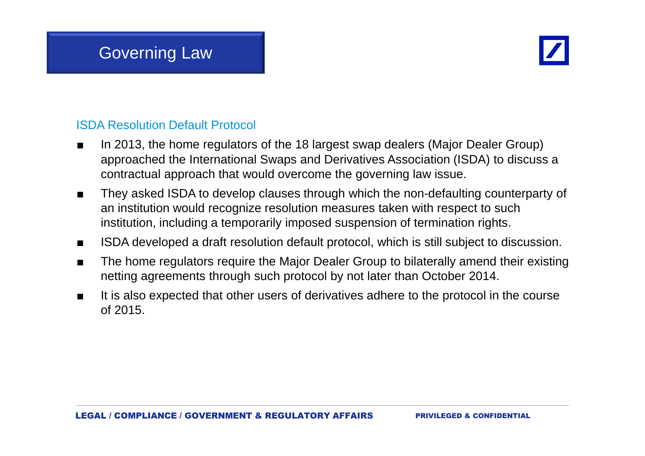

#### ISDA Resolution Default Protocol

- ■ In 2013, the home regulators of the 18 largest swap dealers (Major Dealer Group) approached the International Swaps and Derivatives Association (ISDA) to discuss a contractual approach that would overcome the governing law issue.
- ■ They asked ISDA to develop clauses through which the non-defaulting counterparty of an institution would recognize resolution measures taken with respect to such institution, including a temporarily imposed suspension of termination rights.
- ■ISDA developed a draft resolution default protocol, which is still subject to discussion.
- ■ The home regulators require the Major Dealer Group to bilaterally amend their existing netting agreements through such protocol by not later than October 2014.
- ■ It is also expected that other users of derivatives adhere to the protocol in the course of 2015.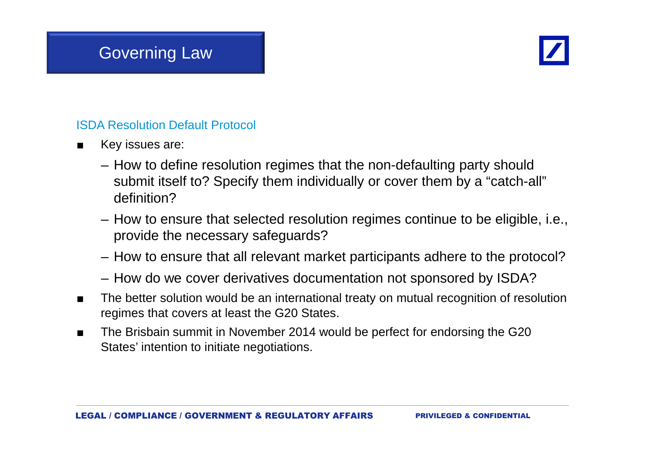

### ISDA Resolution Default Protocol

- ■ Key issues are:
	- How to define resolution regimes that the non-defaulting party should submit itself to? Specify them individually or cover them by a "catch-all" definition?
	- How to ensure that selected resolution regimes continue to be eligible, i.e., provide the necessary safeguards?
	- How to ensure that all relevant market participants adhere to the protocol?
	- How do we cover derivatives documentation not sponsored by ISDA?
- ■ The better solution would be an international treaty on mutual recognition of resolution regimes that covers at least the G20 States.
- ■ The Brisbain summit in November 2014 would be perfect for endorsing the G20 States' intention to initiate negotiations.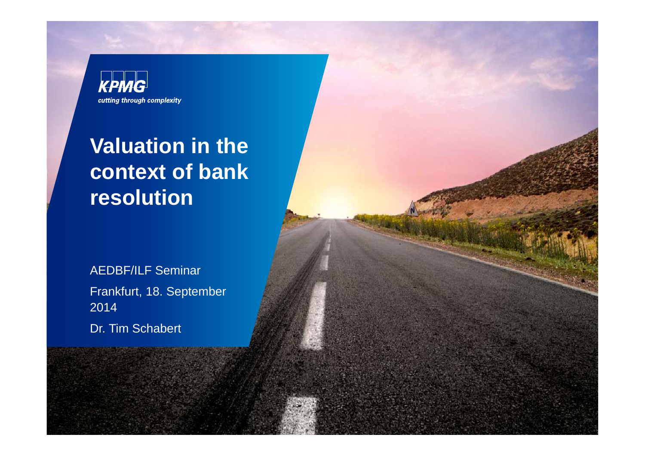

# **Valuation in the context of bank resolution**

AEDBF/ILF SeminarFrankfurt, 18. September 2014Dr. Tim Schabert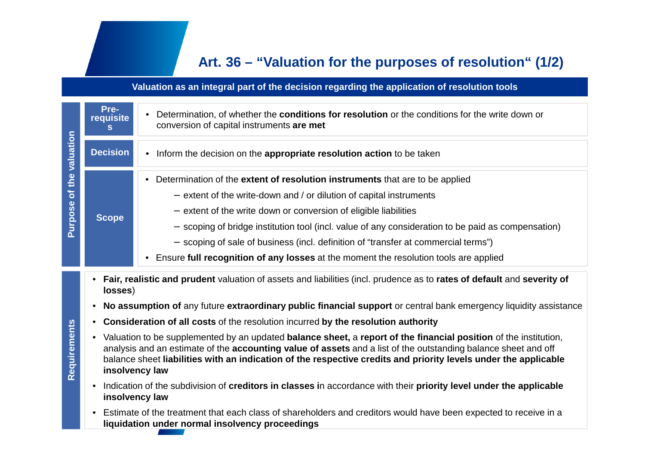## **Art. 36 – "Valuation for the purposes of resolution" (1/2)**

#### **Valuation as an integral part of the decision regarding the application of resolution tools**

| Purpose of the valuation | Pre-<br>requisite<br>s                                                                                                                                                                                                                                                                                                                                                               | Determination, of whether the <b>conditions for resolution</b> or the conditions for the write down or<br>conversion of capital instruments are met                                                                                                                                                                                                                                                                                                                                                           |
|--------------------------|--------------------------------------------------------------------------------------------------------------------------------------------------------------------------------------------------------------------------------------------------------------------------------------------------------------------------------------------------------------------------------------|---------------------------------------------------------------------------------------------------------------------------------------------------------------------------------------------------------------------------------------------------------------------------------------------------------------------------------------------------------------------------------------------------------------------------------------------------------------------------------------------------------------|
|                          | <b>Decision</b>                                                                                                                                                                                                                                                                                                                                                                      | Inform the decision on the appropriate resolution action to be taken                                                                                                                                                                                                                                                                                                                                                                                                                                          |
|                          | <b>Scope</b>                                                                                                                                                                                                                                                                                                                                                                         | Determination of the extent of resolution instruments that are to be applied<br>$-$ extent of the write-down and / or dilution of capital instruments<br>- extent of the write down or conversion of eligible liabilities<br>- scoping of bridge institution tool (incl. value of any consideration to be paid as compensation)<br>- scoping of sale of business (incl. definition of "transfer at commercial terms")<br>Ensure full recognition of any losses at the moment the resolution tools are applied |
| Requirements             | Fair, realistic and prudent valuation of assets and liabilities (incl. prudence as to rates of default and severity of<br>$\bullet$<br>losses)                                                                                                                                                                                                                                       |                                                                                                                                                                                                                                                                                                                                                                                                                                                                                                               |
|                          | No assumption of any future extraordinary public financial support or central bank emergency liquidity assistance<br>$\bullet$                                                                                                                                                                                                                                                       |                                                                                                                                                                                                                                                                                                                                                                                                                                                                                                               |
|                          | Consideration of all costs of the resolution incurred by the resolution authority<br>٠                                                                                                                                                                                                                                                                                               |                                                                                                                                                                                                                                                                                                                                                                                                                                                                                                               |
|                          | Valuation to be supplemented by an updated balance sheet, a report of the financial position of the institution,<br>$\bullet$<br>analysis and an estimate of the accounting value of assets and a list of the outstanding balance sheet and off<br>balance sheet liabilities with an indication of the respective credits and priority levels under the applicable<br>insolvency law |                                                                                                                                                                                                                                                                                                                                                                                                                                                                                                               |
|                          | Indication of the subdivision of creditors in classes in accordance with their priority level under the applicable<br>$\bullet$<br>insolvency law                                                                                                                                                                                                                                    |                                                                                                                                                                                                                                                                                                                                                                                                                                                                                                               |
|                          | Estimate of the treatment that each class of shareholders and creditors would have been expected to receive in a<br>liquidation under normal insolvency proceedings                                                                                                                                                                                                                  |                                                                                                                                                                                                                                                                                                                                                                                                                                                                                                               |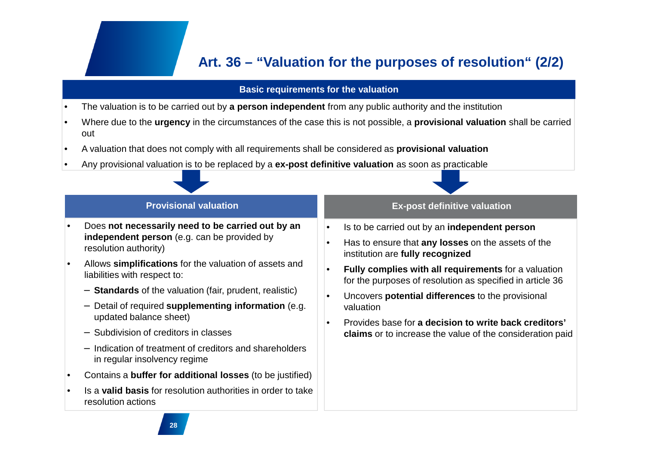## **Art. 36 – "Valuation for the purposes of resolution" (2/2)**

#### **Basic requirements for the valuation**

- •The valuation is to be carried out by **a person independent** from any public authority and the institution
- • Where due to the **urgency** in the circumstances of the case this is not possible, a **provisional valuation** shall be carried out

•

- •A valuation that does not comply with all requirements shall be considered as **provisional valuation**
- •Any provisional valuation is to be replaced by a **ex-post definitive valuation** as soon as practicable

#### **Provisional valuation**

- • Does **not necessarily need to be carried out by an independent person** (e.g. can be provided by resolution authority)
- • Allows **simplifications** for the valuation of assets and liabilities with respect to:
	- − **Standards** of the valuation (fair, prudent, realistic)
	- − Detail of required **supplementing information** (e.g. updated balance sheet)
	- − Subdivision of creditors in classes
	- − Indication of treatment of creditors and shareholders in regular insolvency regime
- •Contains a **buffer for additional losses** (to be justified)
- • Is a **valid basis** for resolution authorities in order to take resolution actions

#### **Ex-post definitive valuation**

- Is to be carried out by an **independent person**
- • Has to ensure that **any losses** on the assets of the institution are **fully recognized**
- • **Fully complies with all requirements** for a valuation for the purposes of resolution as specified in article 36
- • Uncovers **potential differences** to the provisional valuation
- • Provides base for **a decision to write back creditors' claims** or to increase the value of the consideration paid

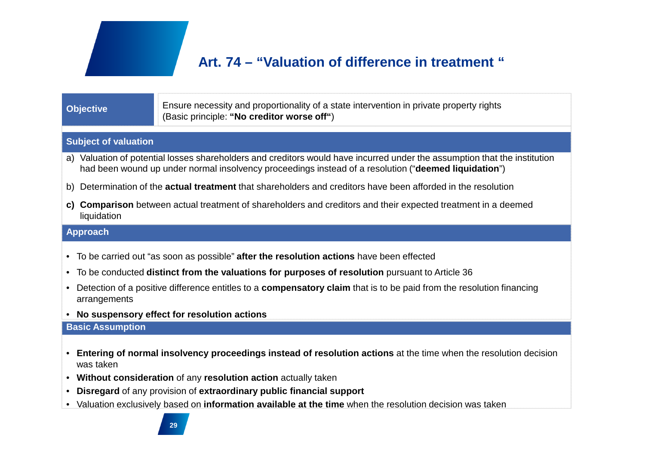## **Art. 74 – "Valuation of difference in treatment "**

#### **Objective**

Ensure necessity and proportionality of a state intervention in private property rights (Basic principle: **"No creditor worse off"**)

#### **Subject of valuation**

- a) Valuation of potential losses shareholders and creditors would have incurred under the assumption that the institution had been wound up under normal insolvency proceedings instead of a resolution ("**deemed liquidation**")
- b) Determination of the **actual treatment** that shareholders and creditors have been afforded in the resolution
- **c) Comparison** between actual treatment of shareholders and creditors and their expected treatment in a deemed liquidation

#### **Approach**

- To be carried out "as soon as possible" **after the resolution actions** have been effected
- To be conducted **distinct from the valuations for purposes of resolution** pursuant to Article 36
- Detection of a positive difference entitles to a **compensatory claim** that is to be paid from the resolution financing arrangements
- **No suspensory effect for resolution actions**

#### **Basic Assumption**

- **Entering of normal insolvency proceedings instead of resolution actions** at the time when the resolution decision was taken
- **Without consideration** of any **resolution action** actually taken
- **Disregard** of any provision of **extraordinary public financial support**
- Valuation exclusively based on **information available at the time** when the resolution decision was taken

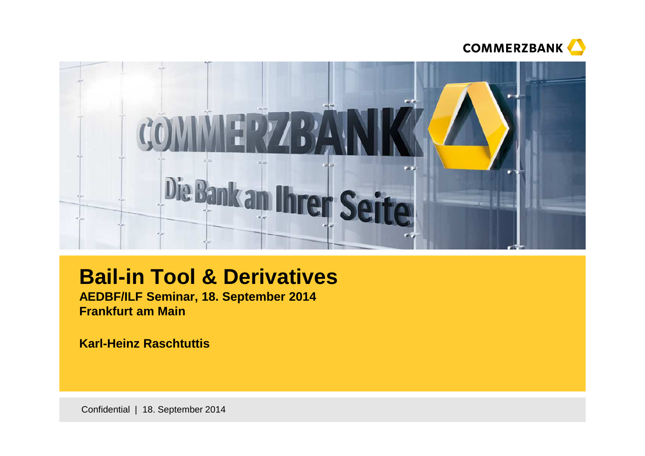



## **Bail-in Tool & Derivatives**

**AEDBF/ILF Seminar, 18. September 2014Frankfurt am Main**

**Karl-Heinz Raschtuttis**

Confidential | 18. September 2014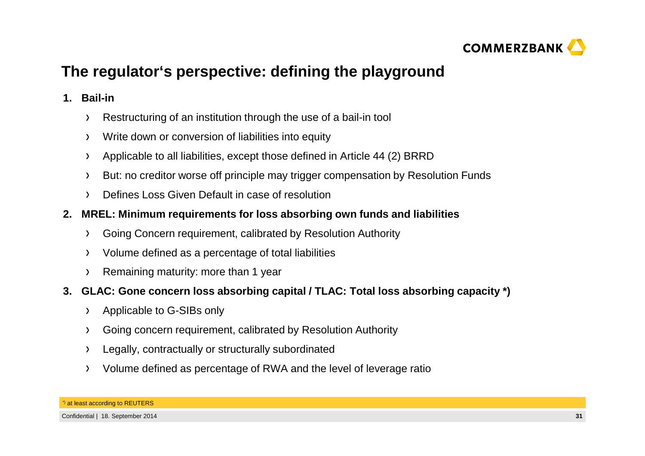

## **The regulator's perspective: defining the playground**

#### **1. Bail-in**

- Restructuring of an institution through the use of a bail-in tool $\sum$
- Write down or conversion of liabilities into equity $\sum$
- Applicable to all liabilities, except those defined in Article 44 (2) BRRD $\sum$
- But: no creditor worse off principle may trigger compensation by Resolution Funds $\rightarrow$
- Defines Loss Given Default in case of resolution $\rightarrow$
- **2. MREL: Minimum requirements for loss absorbing own funds and liabilities**
	- Going Concern requirement, calibrated by Resolution Authority $\sum$
	- Volume defined as a percentage of total liabilities $\sum$
	- Remaining maturity: more than 1 year $\sum$
- **3. GLAC: Gone concern loss absorbing capital / TLAC: Total loss absorbing capacity \*)**
	- Applicable to G-SIBs only $\sum$
	- Going concern requirement, calibrated by Resolution Authority $\sum$
	- Legally, contractually or structurally subordinated $\lambda$
	- Volume defined as percentage of RWA and the level of leverage ratio  $\sum$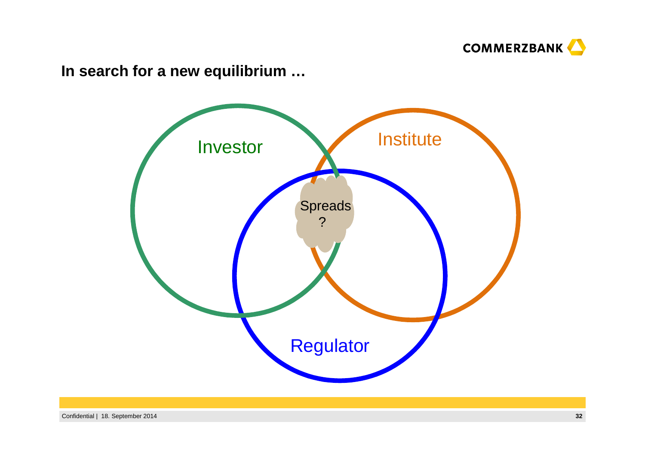

**In search for a new equilibrium …**

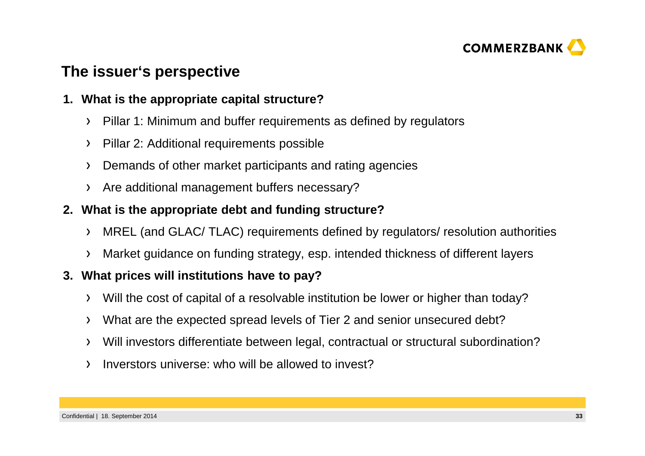

## **The issuer's perspective**

#### **1. What is the appropriate capital structure?**

- Pillar 1: Minimum and buffer requirements as defined by regulators $\sum$
- Pillar 2: Additional requirements possible $\sum$
- Demands of other market participants and rating agencies $\sum$
- Are additional management buffers necessary? $\sum$

#### **2. What is the appropriate debt and funding structure?**

- MREL (and GLAC/ TLAC) requirements defined by regulators/ resolution authorities $\sum_{i=1}^{n}$
- Market guidance on funding strategy, esp. intended thickness of different layers $\sum$

#### **3. What prices will institutions have to pay?**

- Will the cost of capital of a resolvable institution be lower or higher than today? $\sum$
- What are the expected spread levels of Tier 2 and senior unsecured debt? $\sum$
- Will investors differentiate between legal, contractual or structural subordination? $\sum$
- Inverstors universe: who will be allowed to invest? $\sum$